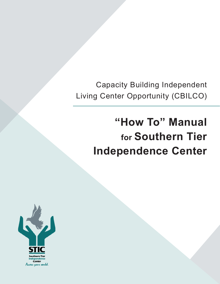Capacity Building Independent Living Center Opportunity (CBILCO)

# **"How To" Manual for Southern Tier Independence Center**

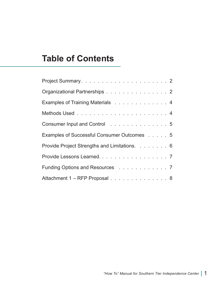## **Table of Contents**

| Organizational Partnerships 2                |
|----------------------------------------------|
| Examples of Training Materials 4             |
|                                              |
| Consumer Input and Control 5                 |
| Examples of Successful Consumer Outcomes 5   |
| Provide Project Strengths and Limitations. 6 |
| Provide Lessons Learned. 7                   |
| Funding Options and Resources 7              |
| Attachment 1 - RFP Proposal 8                |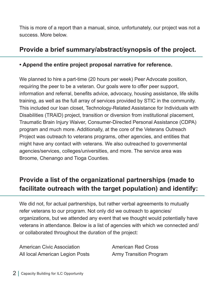This is more of a report than a manual, since, unfortunately, our project was not a success. More below.

### **Provide a brief summary/abstract/synopsis of the project.**

#### **• Append the entire project proposal narrative for reference.**

We planned to hire a part-time (20 hours per week) Peer Advocate position, requiring the peer to be a veteran. Our goals were to offer peer support, information and referral, benefits advice, advocacy, housing assistance, life skills training, as well as the full array of services provided by STIC in the community. This included our loan closet, Technology-Related Assistance for Individuals with Disabilities (TRAID) project, transition or diversion from institutional placement, Traumatic Brain Injury Waiver, Consumer-Directed Personal Assistance (CDPA) program and much more. Additionally, at the core of the Veterans Outreach Project was outreach to veterans programs, other agencies, and entities that might have any contact with veterans. We also outreached to governmental agencies/services, colleges/universities, and more. The service area was Broome, Chenango and Tioga Counties.

## **Provide a list of the organizational partnerships (made to facilitate outreach with the target population) and identify:**

We did not, for actual partnerships, but rather verbal agreements to mutually refer veterans to our program. Not only did we outreach to agencies/ organizations, but we attended any event that we thought would potentially have veterans in attendance. Below is a list of agencies with which we connected and/ or collaborated throughout the duration of the project:

American Civic Association All local American Legion Posts

American Red Cross Army Transition Program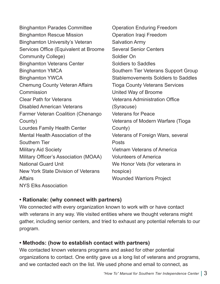Binghamton Parades Committee Binghamton Rescue Mission Binghamton University's Veteran Services Office (Equivalent at Broome Community College) Binghamton Veterans Center Binghamton YMCA Binghamton YWCA Chemung County Veteran Affairs **Commission** Clear Path for Veterans Disabled American Veterans Farmer Veteran Coalition (Chenango County) Lourdes Family Health Center Mental Health Association of the Southern Tier Military Aid Society Military Officer's Association (MOAA) National Guard Unit New York State Division of Veterans **Affairs** NYS Elks Association Operation Enduring Freedom Operation Iraqi Freedom Salvation Army Several Senior Centers Soldier On Soldiers to Saddles Southern Tier Veterans Support Group Stablemovements Soldiers to Saddles Tioga County Veterans Services United Way of Broome Veterans Administration Office (Syracuse) Veterans for Peace Veterans of Modern Warfare (Tioga County) Veterans of Foreign Wars, several Posts Vietnam Veterans of America Volunteers of America We Honor Vets (for veterans in hospice) Wounded Warriors Project

#### **• Rationale: (why connect with partners)**

We connected with every organization known to work with or have contact with veterans in any way. We visited entities where we thought veterans might gather, including senior centers, and tried to exhaust any potential referrals to our program.

#### **• Methods: (how to establish contact with partners)**

We contacted known veterans programs and asked for other potential organizations to contact. One entity gave us a long list of veterans and programs, and we contacted each on the list. We used phone and email to connect, as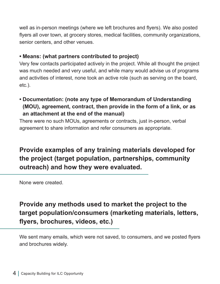well as in-person meetings (where we left brochures and flyers). We also posted flyers all over town, at grocery stores, medical facilities, community organizations, senior centers, and other venues.

#### **• Means: (what partners contributed to project)**

Very few contacts participated actively in the project. While all thought the project was much needed and very useful, and while many would advise us of programs and activities of interest, none took an active role (such as serving on the board, etc.).

**• Documentation: (note any type of Memorandum of Understanding (MOU), agreement, contract, then provide in the form of a link, or as an attachment at the end of the manual)** 

There were no such MOUs, agreements or contracts, just in-person, verbal agreement to share information and refer consumers as appropriate.

## **Provide examples of any training materials developed for the project (target population, partnerships, community outreach) and how they were evaluated.**

None were created.

## **Provide any methods used to market the project to the target population/consumers (marketing materials, letters, flyers, brochures, videos, etc.)**

We sent many emails, which were not saved, to consumers, and we posted flyers and brochures widely.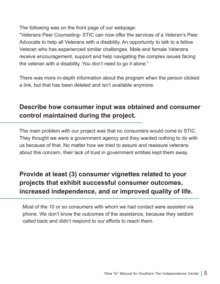The following was on the front page of our webpage:

"Veterans Peer Counseling- STIC can now offer the services of a Veteran's Peer Advocate to help all Veterans with a disability. An opportunity to talk to a fellow Veteran who has experienced similar challenges. Male and female Veterans receive encouragement, support and help navigating the complex issues facing the veteran with a disability. You don't need to go it alone."

There was more in-depth information about the program when the person clicked a link, but that has been deleted and isn't available anymore.

## **Describe how consumer input was obtained and consumer control maintained during the project.**

The main problem with our project was that no consumers would come to STIC. They thought we were a government agency and they wanted nothing to do with us because of that. No matter how we tried to assure and reassure veterans about this concern, their lack of trust in government entities kept them away.

## **Provide at least (3) consumer vignettes related to your projects that exhibit successful consumer outcomes, increased independence, and or improved quality of life.**

Most of the 10 or so consumers with whom we had contact were assisted via phone. We don't know the outcomes of the assistance, because they seldom called back and didn't respond to our efforts to reach them.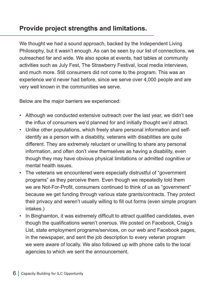## **Provide project strengths and limitations.**

We thought we had a sound approach, backed by the Independent Living Philosophy, but it wasn't enough. As can be seen by our list of connections, we outreached far and wide. We also spoke at events, had tables at community activities such as July Fest, The Strawberry Festival, local media interviews, and much more. Still consumers did not come to the program. This was an experience we'd never had before, since we serve over 4,000 people and are very well known in the communities we serve.

Below are the major barriers we experienced:

- Although we conducted extensive outreach over the last year, we didn't see the influx of consumers we'd planned for and initially thought we'd attract.
- Unlike other populations, which freely share personal information and selfidentify as a person with a disability, veterans with disabilities are quite different. They are extremely reluctant or unwilling to share any personal information, and often don't view themselves as having a disability, even though they may have obvious physical limitations or admitted cognitive or mental health issues.
- The veterans we encountered were especially distrustful of "government programs" as they perceive them. Even though we repeatedly told them we are Not-For-Profit, consumers continued to think of us as "government" because we get funding through various state grants/contracts. They protect their privacy and weren't usually willing to fill out forms (even simple program intakes.)
- In Binghamton, it was extremely difficult to attract qualified candidates, even though the qualifications weren't onerous. We posted on Facebook, Craig's List, state employment programs/services, on our web and Facebook pages, in the newspaper, and sent the job description to every veteran program we were aware of locally. We also followed up with phone calls to the local agencies to which we sent the announcement.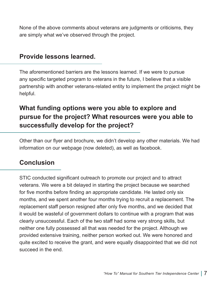None of the above comments about veterans are judgments or criticisms, they are simply what we've observed through the project.

#### **Provide lessons learned.**

The aforementioned barriers are the lessons learned. If we were to pursue any specific targeted program to veterans in the future, I believe that a visible partnership with another veterans-related entity to implement the project might be helpful.

## **What funding options were you able to explore and pursue for the project? What resources were you able to successfully develop for the project?**

Other than our flyer and brochure, we didn't develop any other materials. We had information on our webpage (now deleted), as well as facebook.

#### **Conclusion**

STIC conducted significant outreach to promote our project and to attract veterans. We were a bit delayed in starting the project because we searched for five months before finding an appropriate candidate. He lasted only six months, and we spent another four months trying to recruit a replacement. The replacement staff person resigned after only five months, and we decided that it would be wasteful of government dollars to continue with a program that was clearly unsuccessful. Each of the two staff had some very strong skills, but neither one fully possessed all that was needed for the project. Although we provided extensive training, neither person worked out. We were honored and quite excited to receive the grant, and were equally disappointed that we did not succeed in the end.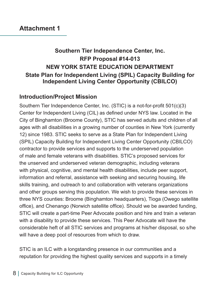## **Southern Tier Independence Center, Inc. RFP Proposal #14-013 NEW YORK STATE EDUCATION DEPARTMENT State Plan for Independent Living (SPIL) Capacity Building for Independent Living Center Opportunity (CBILCO)**

#### **Introduction/Project Mission**

Southern Tier Independence Center, Inc. (STIC) is a not-for-profit 501(c)(3) Center for Independent Living (CIL) as defined under NYS law. Located in the City of Binghamton (Broome County), STIC has served adults and children of all ages with all disabilities in a growing number of counties in New York (currently 12) since 1983. STIC seeks to serve as a State Plan for Independent Living (SPIL) Capacity Building for Independent Living Center Opportunity (CBILCO) contractor to provide services and supports to the underserved population of male and female veterans with disabilities. STIC's proposed services for the unserved and underserved veteran demographic, including veterans with physical, cognitive, and mental health disabilities, include peer support, information and referral, assistance with seeking and securing housing, life skills training, and outreach to and collaboration with veterans organizations and other groups serving this population. We wish to provide these services in three NYS counties: Broome (Binghamton headquarters), Tioga (Owego satellite office), and Chenango (Norwich satellite office). Should we be awarded funding, STIC will create a part-time Peer Advocate position and hire and train a veteran with a disability to provide these services. This Peer Advocate will have the considerable heft of all STIC services and programs at his/her disposal, so s/he will have a deep pool of resources from which to draw.

STIC is an ILC with a longstanding presence in our communities and a reputation for providing the highest quality services and supports in a timely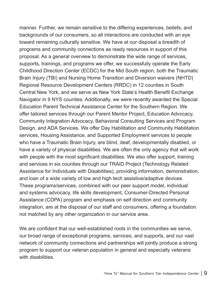manner. Further, we remain sensitive to the differing experiences, beliefs, and backgrounds of our consumers, so all interactions are conducted with an eye toward remaining culturally sensitive. We have at our disposal a breadth of programs and community connections as ready resources in support of this proposal. As a general overview to demonstrate the wide range of services, supports, trainings, and programs we offer, we successfully operate the Early Childhood Direction Center (ECDC) for the Mid South region, both the Traumatic Brain Injury (TBI) and Nursing Home Transition and Diversion waivers (NHTD) Regional Resource Development Centers (RRDC) in 12 counties in South Central New York, and we serve as New York State's Health Benefit Exchange Navigator in 9 NYS counties. Additionally, we were recently awarded the Special Education Parent Technical Assistance Center for the Southern Region. We offer tailored services through our Parent Mentor Project, Education Advocacy, Community Integration Advocacy, Behavioral Consulting Services and Program Design, and ADA Services. We offer Day Habilitation and Community Habilitation services, Housing Assistance, and Supported Employment services to people who have a Traumatic Brain Injury, are blind, deaf, developmentally disabled, or have a variety of physical disabilities. We are often the only agency that will work with people with the most significant disabilities. We also offer support, training and services in six counties through our TRAID Project (Technology Related Assistance for Individuals with Disabilities), providing information, demonstration, and loan of a wide variety of low and high tech assistive/adaptive devices. These programs/services, combined with our peer support model, individual and systems advocacy, life skills development, Consumer-Directed Personal Assistance (CDPA) program and emphasis on self direction and community integration, are at the disposal of our staff and consumers, offering a foundation not matched by any other organization in our service area.

We are confident that our well-established roots in the communities we serve, our broad range of exceptional programs, services, and supports, and our vast network of community connections and partnerships will jointly produce a strong program to support our veteran population in general and especially veterans with disabilities.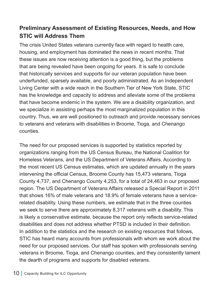## **Preliminary Assessment of Existing Resources, Needs, and How STIC will Address Them**

The crisis United States veterans currently face with regard to health care, housing, and employment has dominated the news in recent months. That these issues are now receiving attention is a good thing, but the problems that are being revealed have been ongoing for years. It is safe to conclude that historically services and supports for our veteran population have been underfunded, sparsely available, and poorly administrated. As an Independent Living Center with a wide reach in the Southern Tier of New York State, STIC has the knowledge and capacity to address and alleviate some of the problems that have become endemic in the system. We are a disability organization, and we specialize in assisting perhaps the most marginalized population in this country. Thus, we are well positioned to outreach and provide necessary services to veterans and veterans with disabilities in Broome, Tioga, and Chenango counties.

The need for our proposed services is supported by statistics reported by organizations ranging from the US Census Bureau, the National Coalition for Homeless Veterans, and the US Department of Veterans Affairs. According to the most recent US Census estimates, which are updated annually in the years intervening the official Census, Broome County has 15,473 veterans, Tioga County 4,737, and Chenango County 4,253, for a total of 24,463 in our proposed region. The US Department of Veterans Affairs released a Special Report in 2011 that shows 16% of male veterans and 18.9% of female veterans have a servicerelated disability. Using these numbers, we estimate that in the three counties we seek to serve there are approximately 8,317 veterans with a disability. This is likely a conservative estimate, because the report only reflects service-related disabilities and does not address whether PTSD is included in their definition. In addition to the statistics and the research on existing resources that follows, STIC has heard many accounts from professionals with whom we work about the need for our proposed services. Our staff has spoken with professionals serving veterans in Broome, Tioga, and Chenango counties, and they consistently lament the dearth of programs and supports for disabled veterans.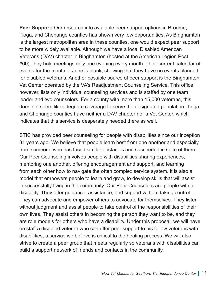**Peer Support:** Our research into available peer support options in Broome, Tioga, and Chenango counties has shown very few opportunities. As Binghamton is the largest metropolitan area in these counties, one would expect peer support to be more widely available. Although we have a local Disabled American Veterans (DAV) chapter in Binghamton (hosted at the American Legion Post #60), they hold meetings only one evening every month. Their current calendar of events for the month of June is blank, showing that they have no events planned for disabled veterans. Another possible source of peer support is the Binghamton Vet Center operated by the VA's Readjustment Counseling Service. This office, however, lists only individual counseling services and is staffed by one team leader and two counselors. For a county with more than 15,000 veterans, this does not seem like adequate coverage to serve the designated population. Tioga and Chenango counties have neither a DAV chapter nor a Vet Center, which indicates that this service is desperately needed there as well.

STIC has provided peer counseling for people with disabilities since our inception 31 years ago. We believe that people learn best from one another and especially from someone who has faced similar obstacles and succeeded in spite of them. Our Peer Counseling involves people with disabilities sharing experiences, mentoring one another, offering encouragement and support, and learning from each other how to navigate the often complex service system. It is also a model that empowers people to learn and grow, to develop skills that will assist in successfully living in the community. Our Peer Counselors are people with a disability. They offer guidance, assistance, and support without taking control. They can advocate and empower others to advocate for themselves. They listen without judgment and assist people to take control of the responsibilities of their own lives. They assist others in becoming the person they want to be, and they are role models for others who have a disability. Under this proposal, we will have on staff a disabled veteran who can offer peer support to his fellow veterans with disabilities, a service we believe is critical to the healing process. We will also strive to create a peer group that meets regularly so veterans with disabilities can build a support network of friends and contacts in the community.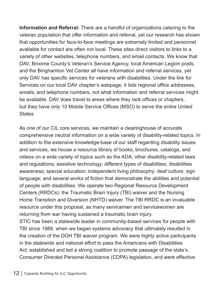**Information and Referral:** There are a handful of organizations catering to the veteran population that offer information and referral, yet our research has shown that opportunities for face-to-face meetings are extremely limited and personnel available for contact are often not local. These sites direct visitors to links to a variety of other websites, telephone numbers, and email contacts. We know that DAV, Broome County's Veteran's Service Agency, local American Legion posts, and the Binghamton Vet Center all have information and referral services, yet only DAV has specific services for veterans with disabilities. Under the link for Services on our local DAV chapter's webpage, it lists regional office addresses, emails, and telephone numbers, not what information and referral services might be available. DAV does travel to areas where they lack offices or chapters, but they have only 10 Mobile Service Offices (MSO) to serve the entire United States.

As one of our CIL core services, we maintain a clearinghouse of accurate comprehensive neutral information on a wide variety of disability-related topics. In addition to the extensive knowledge-base of our staff regarding disability issues and services, we house a resource library of books, brochures, catalogs, and videos on a wide variety of topics such as the ADA; other disability-related laws and regulations; assistive technology; different types of disabilities; disabilities awareness; special education; independent living philosophy; deaf culture; sign language; and several works of fiction that demonstrate the abilities and potential of people with disabilities. We operate two Regional Resource Development Centers (RRDCs): the Traumatic Brain Injury (TBI) waiver and the Nursing Home Transition and Diversion (NHTD) waiver. The TBI RRDC is an invaluable resource under this proposal, as many servicemen and servicewomen are returning from war having sustained a traumatic brain injury. STIC has been a statewide leader in community-based services for people with TBI since 1988, when we began systems advocacy that ultimately resulted in the creation of the DOH TBI waiver program. We were highly active participants in the statewide and national effort to pass the Americans with Disabilities Act, established and led a strong coalition to promote passage of the state's Consumer Directed Personal Assistance (CDPA) legislation, and were effective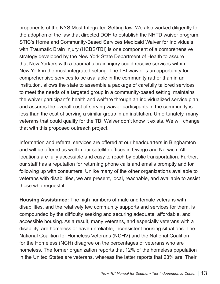proponents of the NYS Most Integrated Setting law. We also worked diligently for the adoption of the law that directed DOH to establish the NHTD waiver program. STIC's Home and Community-Based Services Medicaid Waiver for Individuals with Traumatic Brain Injury (HCBS/TBI) is one component of a comprehensive strategy developed by the New York State Department of Health to assure that New Yorkers with a traumatic brain injury could receive services within New York in the most integrated setting. The TBI waiver is an opportunity for comprehensive services to be available in the community rather than in an institution, allows the state to assemble a package of carefully tailored services to meet the needs of a targeted group in a community-based setting, maintains the waiver participant's health and welfare through an individualized service plan, and assures the overall cost of serving waiver participants in the community is less than the cost of serving a similar group in an institution. Unfortunately, many veterans that could qualify for the TBI Waiver don't know it exists. We will change that with this proposed outreach project.

Information and referral services are offered at our headquarters in Binghamton and will be offered as well in our satellite offices in Owego and Norwich. All locations are fully accessible and easy to reach by public transportation. Further, our staff has a reputation for returning phone calls and emails promptly and for following up with consumers. Unlike many of the other organizations available to veterans with disabilities, we are present, local, reachable, and available to assist those who request it.

**Housing Assistance:** The high numbers of male and female veterans with disabilities, and the relatively few community supports and services for them, is compounded by the difficulty seeking and securing adequate, affordable, and accessible housing. As a result, many veterans, and especially veterans with a disability, are homeless or have unreliable, inconsistent housing situations. The National Coalition for Homeless Veterans (NCHV) and the National Coalition for the Homeless (NCH) disagree on the percentages of veterans who are homeless. The former organization reports that 12% of the homeless population in the United States are veterans, whereas the latter reports that 23% are. Their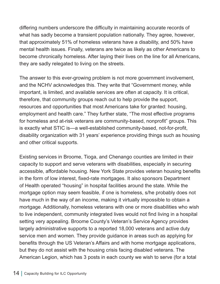differing numbers underscore the difficulty in maintaining accurate records of what has sadly become a transient population nationally. They agree, however, that approximately 51% of homeless veterans have a disability, and 50% have mental health issues. Finally, veterans are twice as likely as other Americans to become chronically homeless. After laying their lives on the line for all Americans, they are sadly relegated to living on the streets.

The answer to this ever-growing problem is not more government involvement, and the NCHV acknowledges this. They write that "Government money, while important, is limited, and available services are often at capacity. It is critical, therefore, that community groups reach out to help provide the support, resources and opportunities that most Americans take for granted: housing, employment and health care." They further state, "The most effective programs for homeless and at-risk veterans are community-based, nonprofit" groups. This is exactly what STIC is—a well-established community-based, not-for-profit, disability organization with 31 years' experience providing things such as housing and other critical supports.

Existing services in Broome, Tioga, and Chenango counties are limited in their capacity to support and serve veterans with disabilities, especially in securing accessible, affordable housing. New York State provides veteran housing benefits in the form of low interest, fixed-rate mortgages. It also sponsors Department of Health operated "housing" in hospital facilities around the state. While the mortgage option may seem feasible, if one is homeless, s/he probably does not have much in the way of an income, making it virtually impossible to obtain a mortgage. Additionally, homeless veterans with one or more disabilities who wish to live independent, community integrated lives would not find living in a hospital setting very appealing. Broome County's Veteran's Service Agency provides largely administrative supports to a reported 18,000 veterans and active duty service men and women. They provide guidance in areas such as applying for benefits through the US Veteran's Affairs and with home mortgage applications, but they do not assist with the housing crisis facing disabled veterans. The American Legion, which has 3 posts in each county we wish to serve (for a total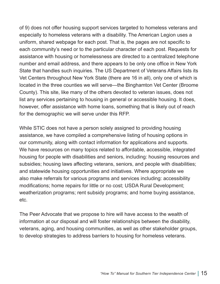of 9) does not offer housing support services targeted to homeless veterans and especially to homeless veterans with a disability. The American Legion uses a uniform, shared webpage for each post. That is, the pages are not specific to each community's need or to the particular character of each post. Requests for assistance with housing or homelessness are directed to a centralized telephone number and email address, and there appears to be only one office in New York State that handles such inquiries. The US Department of Veterans Affairs lists its Vet Centers throughout New York State (there are 16 in all), only one of which is located in the three counties we will serve—the Binghamton Vet Center (Broome County). This site, like many of the others devoted to veteran issues, does not list any services pertaining to housing in general or accessible housing. It does, however, offer assistance with home loans, something that is likely out of reach for the demographic we will serve under this RFP.

While STIC does not have a person solely assigned to providing housing assistance, we have compiled a comprehensive listing of housing options in our community, along with contact information for applications and supports. We have resources on many topics related to affordable, accessible, integrated housing for people with disabilities and seniors, including: housing resources and subsidies; housing laws affecting veterans, seniors, and people with disabilities; and statewide housing opportunities and initiatives. Where appropriate we also make referrals for various programs and services including: accessibility modifications; home repairs for little or no cost; USDA Rural Development; weatherization programs; rent subsidy programs; and home buying assistance, etc.

The Peer Advocate that we propose to hire will have access to the wealth of information at our disposal and will foster relationships between the disability, veterans, aging, and housing communities, as well as other stakeholder groups, to develop strategies to address barriers to housing for homeless veterans.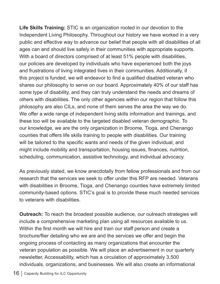**Life Skills Training:** STIC is an organization rooted in our devotion to the Independent Living Philosophy. Throughout our history we have worked in a very public and effective way to advance our belief that people with all disabilities of all ages can and should live safely in their communities with appropriate supports. With a board of directors comprised of at least 51% people with disabilities, our policies are developed by individuals who have experienced both the joys and frustrations of living integrated lives in their communities. Additionally, if this project is funded, we will endeavor to find a qualified disabled veteran who shares our philosophy to serve on our board. Approximately 40% of our staff has some type of disability, and they can truly understand the needs and dreams of others with disabilities. The only other agencies within our region that follow this philosophy are also CILs, and none of them serves the area the way we do. We offer a wide range of independent living skills information and trainings, and these too will be available to the targeted disabled veteran demographic. To our knowledge, we are the only organization in Broome, Tioga, and Chenango counties that offers life skills training to people with disabilities. Our training will be tailored to the specific wants and needs of the given individual, and might include mobility and transportation, housing issues, finances, nutrition, scheduling, communication, assistive technology, and individual advocacy.

As previously stated, we know anecdotally from fellow professionals and from our research that the services we seek to offer under this RFP are needed. Veterans with disabilities in Broome, Tioga, and Chenango counties have extremely limited community-based options. STIC's goal is to provide these much needed services to veterans with disabilities.

**Outreach:** To reach the broadest possible audience, our outreach strategies will include a comprehensive marketing plan using all resources available to us. Within the first month we will hire and train our staff person and create a brochure/flier detailing who we are and the services we offer and begin the ongoing process of contacting as many organizations that encounter the veteran population as possible. We will place an advertisement in our quarterly newsletter, Accessability, which has a circulation of approximately 3,500 individuals, organizations, and businesses. We will also create an informational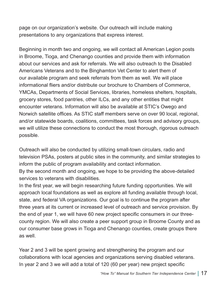page on our organization's website. Our outreach will include making presentations to any organizations that express interest.

Beginning in month two and ongoing, we will contact all American Legion posts in Broome, Tioga, and Chenango counties and provide them with information about our services and ask for referrals. We will also outreach to the Disabled Americans Veterans and to the Binghamton Vet Center to alert them of our available program and seek referrals from them as well. We will place informational fliers and/or distribute our brochure to Chambers of Commerce, YMCAs, Departments of Social Services, libraries, homeless shelters, hospitals, grocery stores, food pantries, other ILCs, and any other entities that might encounter veterans. Information will also be available at STIC's Owego and Norwich satellite offices. As STIC staff members serve on over 90 local, regional, and/or statewide boards, coalitions, committees, task forces and advisory groups, we will utilize these connections to conduct the most thorough, rigorous outreach possible.

Outreach will also be conducted by utilizing small-town circulars, radio and television PSAs, posters at public sites in the community, and similar strategies to inform the public of program availability and contact information.

By the second month and ongoing, we hope to be providing the above-detailed services to veterans with disabilities.

In the first year, we will begin researching future funding opportunities. We will approach local foundations as well as explore all funding available through local, state, and federal VA organizations. Our goal is to continue the program after three years at its current or increased level of outreach and service provision. By the end of year 1, we will have 60 new project specific consumers in our threecounty region. We will also create a peer support group in Broome County and as our consumer base grows in Tioga and Chenango counties, create groups there as well.

Year 2 and 3 will be spent growing and strengthening the program and our collaborations with local agencies and organizations serving disabled veterans. In year 2 and 3 we will add a total of 120 (60 per year) new project specific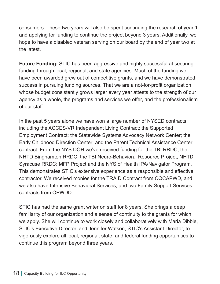consumers. These two years will also be spent continuing the research of year 1 and applying for funding to continue the project beyond 3 years. Additionally, we hope to have a disabled veteran serving on our board by the end of year two at the latest.

**Future Funding:** STIC has been aggressive and highly successful at securing funding through local, regional, and state agencies. Much of the funding we have been awarded grew out of competitive grants, and we have demonstrated success in pursuing funding sources. That we are a not-for-profit organization whose budget consistently grows larger every year attests to the strength of our agency as a whole, the programs and services we offer, and the professionalism of our staff.

In the past 5 years alone we have won a large number of NYSED contracts, including the ACCES-VR Independent Living Contract; the Supported Employment Contract; the Statewide Systems Advocacy Network Center; the Early Childhood Direction Center; and the Parent Technical Assistance Center contract. From the NYS DOH we've received funding for the TBI RRDC; the NHTD Binghamton RRDC; the TBI Neuro-Behavioral Resource Project; NHTD Syracuse RRDC; MFP Project and the NYS of Health IPA/Navigator Program. This demonstrates STIC's extensive experience as a responsible and effective contractor. We received monies for the TRAID Contract from CQCAPWD, and we also have Intensive Behavioral Services, and two Family Support Services contracts from OPWDD.

STIC has had the same grant writer on staff for 8 years. She brings a deep familiarity of our organization and a sense of continuity to the grants for which we apply. She will continue to work closely and collaboratively with Maria Dibble, STIC's Executive Director, and Jennifer Watson, STIC's Assistant Director, to vigorously explore all local, regional, state, and federal funding opportunities to continue this program beyond three years.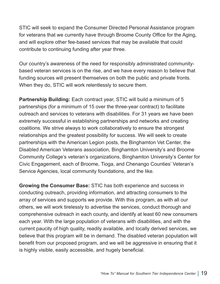STIC will seek to expand the Consumer Directed Personal Assistance program for veterans that we currently have through Broome County Office for the Aging, and will explore other fee-based services that may be available that could contribute to continuing funding after year three.

Our country's awareness of the need for responsibly administrated communitybased veteran services is on the rise, and we have every reason to believe that funding sources will present themselves on both the public and private fronts. When they do, STIC will work relentlessly to secure them.

**Partnership Building:** Each contract year, STIC will build a minimum of 5 partnerships (for a minimum of 15 over the three-year contract) to facilitate outreach and services to veterans with disabilities. For 31 years we have been extremely successful in establishing partnerships and networks and creating coalitions. We strive always to work collaboratively to ensure the strongest relationships and the greatest possibility for success. We will seek to create partnerships with the American Legion posts, the Binghamton Vet Center, the Disabled American Veterans association, Binghamton University's and Broome Community College's veteran's organizations, Binghamton University's Center for Civic Engagement, each of Broome, Tioga, and Chenango Counties' Veteran's Service Agencies, local community foundations, and the like.

**Growing the Consumer Base:** STIC has both experience and success in conducting outreach, providing information, and attracting consumers to the array of services and supports we provide. With this program, as with all our others, we will work tirelessly to advertise the services, conduct thorough and comprehensive outreach in each county, and identify at least 60 new consumers each year. With the large population of veterans with disabilities, and with the current paucity of high quality, readily available, and locally derived services, we believe that this program will be in demand. The disabled veteran population will benefit from our proposed program, and we will be aggressive in ensuring that it is highly visible, easily accessible, and hugely beneficial.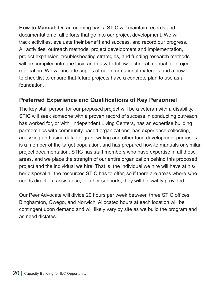**How-to Manual:** On an ongoing basis, STIC will maintain records and documentation of all efforts that go into our project development. We will track activities, evaluate their benefit and success, and record our progress. All activities, outreach methods, project development and implementation, project expansion, troubleshooting strategies, and funding research methods will be compiled into one lucid and easy-to-follow technical manual for project replication. We will include copies of our informational materials and a howto checklist to ensure that future projects have a concrete plan to use as a foundation.

#### **Preferred Experience and Qualifications of Key Personnel**

The key staff person for our proposed project will be a veteran with a disability. STIC will seek someone with a proven record of success in conducting outreach, has worked for, or with, Independent Living Centers, has an expertise building partnerships with community-based organizations, has experience collecting, analyzing and using data for grant writing and other fund development purposes, is a member of the target population, and has prepared how-to manuals or similar project documentation. STIC has staff members who have expertise in all these areas, and we place the strength of our entire organization behind this proposed project and the individual we hire. That is, the individual we hire will have at his/ her disposal all the resources STIC has to offer, so if there are areas where s/he needs direction, assistance, or other supports, they will be swiftly provided.

Our Peer Advocate will divide 20 hours per week between three STIC offices: Binghamton, Owego, and Norwich. Allocated hours at each location will be contingent upon demand and will likely vary by site as we build the program and as need dictates.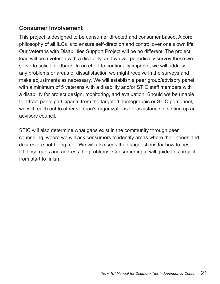#### **Consumer Involvement**

This project is designed to be consumer directed and consumer based. A core philosophy of all ILCs is to ensure self-direction and control over one's own life. Our Veterans with Disabilities Support Project will be no different. The project lead will be a veteran with a disability, and we will periodically survey those we serve to solicit feedback. In an effort to continually improve, we will address any problems or areas of dissatisfaction we might receive in the surveys and make adjustments as necessary. We will establish a peer group/advisory panel with a minimum of 5 veterans with a disability and/or STIC staff members with a disability for project design, monitoring, and evaluation. Should we be unable to attract panel participants from the targeted demographic or STIC personnel, we will reach out to other veteran's organizations for assistance in setting up an advisory council.

STIC will also determine what gaps exist in the community through peer counseling, where we will ask consumers to identify areas where their needs and desires are not being met. We will also seek their suggestions for how to best fill those gaps and address the problems. Consumer input will guide this project from start to finish.